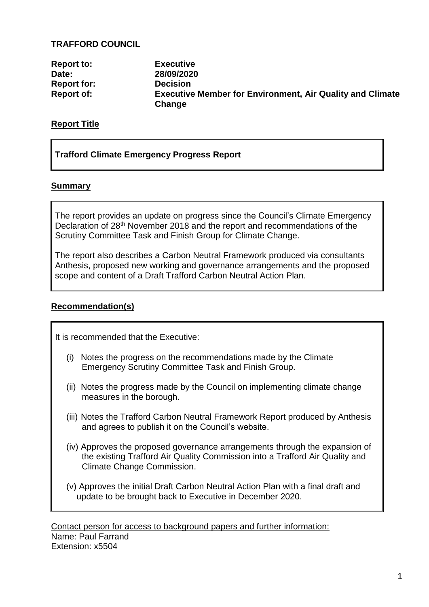### **TRAFFORD COUNCIL**

| <b>Report to:</b>  | <b>Executive</b>                                                           |
|--------------------|----------------------------------------------------------------------------|
| Date:              | 28/09/2020                                                                 |
| <b>Report for:</b> | <b>Decision</b>                                                            |
| <b>Report of:</b>  | <b>Executive Member for Environment, Air Quality and Climate</b><br>Change |

### **Report Title**

### **Trafford Climate Emergency Progress Report**

### **Summary**

The report provides an update on progress since the Council's Climate Emergency Declaration of 28th November 2018 and the report and recommendations of the Scrutiny Committee Task and Finish Group for Climate Change.

The report also describes a Carbon Neutral Framework produced via consultants Anthesis, proposed new working and governance arrangements and the proposed scope and content of a Draft Trafford Carbon Neutral Action Plan.

### **Recommendation(s)**

It is recommended that the Executive:

- (i) Notes the progress on the recommendations made by the Climate Emergency Scrutiny Committee Task and Finish Group.
- (ii) Notes the progress made by the Council on implementing climate change measures in the borough.
- (iii) Notes the Trafford Carbon Neutral Framework Report produced by Anthesis and agrees to publish it on the Council's website.
- (iv) Approves the proposed governance arrangements through the expansion of the existing Trafford Air Quality Commission into a Trafford Air Quality and Climate Change Commission.
- (v) Approves the initial Draft Carbon Neutral Action Plan with a final draft and update to be brought back to Executive in December 2020.

Contact person for access to background papers and further information: Name: Paul Farrand Extension: x5504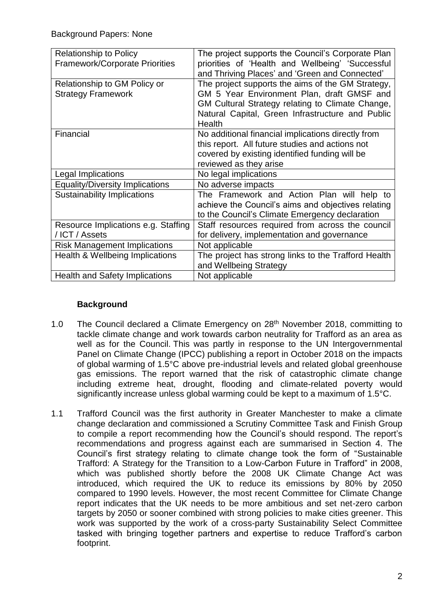| <b>Relationship to Policy</b>          | The project supports the Council's Corporate Plan   |  |  |
|----------------------------------------|-----------------------------------------------------|--|--|
| <b>Framework/Corporate Priorities</b>  | priorities of 'Health and Wellbeing' 'Successful    |  |  |
|                                        | and Thriving Places' and 'Green and Connected'      |  |  |
| Relationship to GM Policy or           | The project supports the aims of the GM Strategy,   |  |  |
| <b>Strategy Framework</b>              | GM 5 Year Environment Plan, draft GMSF and          |  |  |
|                                        | GM Cultural Strategy relating to Climate Change,    |  |  |
|                                        | Natural Capital, Green Infrastructure and Public    |  |  |
|                                        | Health                                              |  |  |
| Financial                              | No additional financial implications directly from  |  |  |
|                                        | this report. All future studies and actions not     |  |  |
|                                        | covered by existing identified funding will be      |  |  |
|                                        | reviewed as they arise                              |  |  |
| Legal Implications                     | No legal implications                               |  |  |
| <b>Equality/Diversity Implications</b> | No adverse impacts                                  |  |  |
| <b>Sustainability Implications</b>     | The Framework and Action Plan will help to          |  |  |
|                                        | achieve the Council's aims and objectives relating  |  |  |
|                                        | to the Council's Climate Emergency declaration      |  |  |
| Resource Implications e.g. Staffing    | Staff resources required from across the council    |  |  |
| /ICT / Assets                          | for delivery, implementation and governance         |  |  |
| <b>Risk Management Implications</b>    | Not applicable                                      |  |  |
| Health & Wellbeing Implications        | The project has strong links to the Trafford Health |  |  |
|                                        | and Wellbeing Strategy                              |  |  |
| <b>Health and Safety Implications</b>  | Not applicable                                      |  |  |

### **Background**

- 1.0 The Council declared a Climate Emergency on 28<sup>th</sup> November 2018, committing to tackle climate change and work towards carbon neutrality for Trafford as an area as well as for the Council. This was partly in response to the UN Intergovernmental Panel on Climate Change (IPCC) publishing a report in October 2018 on the impacts of global warming of 1.5°C above pre-industrial levels and related global greenhouse gas emissions. The report warned that the risk of catastrophic climate change including extreme heat, drought, flooding and climate-related poverty would significantly increase unless global warming could be kept to a maximum of 1.5°C.
- 1.1 Trafford Council was the first authority in Greater Manchester to make a climate change declaration and commissioned a Scrutiny Committee Task and Finish Group to compile a report recommending how the Council's should respond. The report's recommendations and progress against each are summarised in Section 4. The Council's first strategy relating to climate change took the form of "Sustainable Trafford: A Strategy for the Transition to a Low-Carbon Future in Trafford" in 2008, which was published shortly before the 2008 UK Climate Change Act was introduced, which required the UK to reduce its emissions by 80% by 2050 compared to 1990 levels. However, the most recent Committee for Climate Change report indicates that the UK needs to be more ambitious and set net-zero carbon targets by 2050 or sooner combined with strong policies to make cities greener. This work was supported by the work of a cross-party Sustainability Select Committee tasked with bringing together partners and expertise to reduce Trafford's carbon footprint.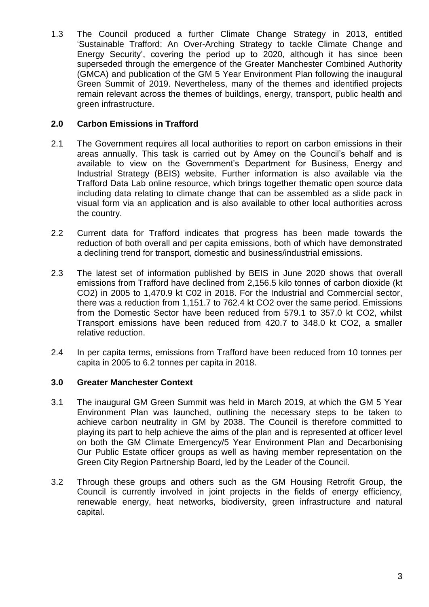1.3 The Council produced a further Climate Change Strategy in 2013, entitled 'Sustainable Trafford: An Over-Arching Strategy to tackle Climate Change and Energy Security', covering the period up to 2020, although it has since been superseded through the emergence of the Greater Manchester Combined Authority (GMCA) and publication of the GM 5 Year Environment Plan following the inaugural Green Summit of 2019. Nevertheless, many of the themes and identified projects remain relevant across the themes of buildings, energy, transport, public health and green infrastructure.

# **2.0 Carbon Emissions in Trafford**

- 2.1 The Government requires all local authorities to report on carbon emissions in their areas annually. This task is carried out by Amey on the Council's behalf and is available to view on the Government's Department for Business, Energy and Industrial Strategy (BEIS) website. Further information is also available via the Trafford Data Lab online resource, which brings together thematic open source data including data relating to climate change that can be assembled as a slide pack in visual form via an application and is also available to other local authorities across the country.
- 2.2 Current data for Trafford indicates that progress has been made towards the reduction of both overall and per capita emissions, both of which have demonstrated a declining trend for transport, domestic and business/industrial emissions.
- 2.3 The latest set of information published by BEIS in June 2020 shows that overall emissions from Trafford have declined from 2,156.5 kilo tonnes of carbon dioxide (kt CO2) in 2005 to 1,470.9 kt C02 in 2018. For the Industrial and Commercial sector, there was a reduction from 1,151.7 to 762.4 kt CO2 over the same period. Emissions from the Domestic Sector have been reduced from 579.1 to 357.0 kt CO2, whilst Transport emissions have been reduced from 420.7 to 348.0 kt CO2, a smaller relative reduction.
- 2.4 In per capita terms, emissions from Trafford have been reduced from 10 tonnes per capita in 2005 to 6.2 tonnes per capita in 2018.

### **3.0 Greater Manchester Context**

- 3.1 The inaugural GM Green Summit was held in March 2019, at which the GM 5 Year Environment Plan was launched, outlining the necessary steps to be taken to achieve carbon neutrality in GM by 2038. The Council is therefore committed to playing its part to help achieve the aims of the plan and is represented at officer level on both the GM Climate Emergency/5 Year Environment Plan and Decarbonising Our Public Estate officer groups as well as having member representation on the Green City Region Partnership Board, led by the Leader of the Council.
- 3.2 Through these groups and others such as the GM Housing Retrofit Group, the Council is currently involved in joint projects in the fields of energy efficiency, renewable energy, heat networks, biodiversity, green infrastructure and natural capital.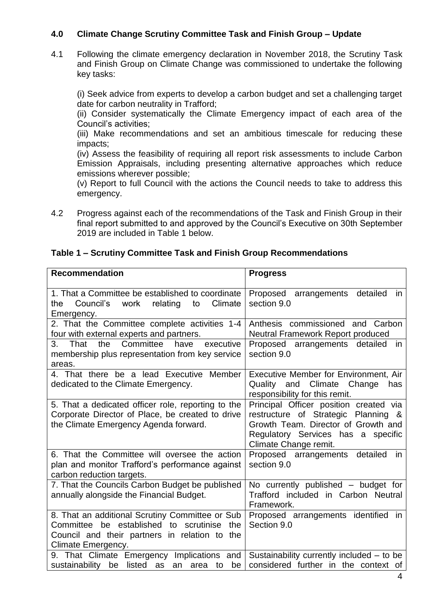# **4.0 Climate Change Scrutiny Committee Task and Finish Group – Update**

4.1 Following the climate emergency declaration in November 2018, the Scrutiny Task and Finish Group on Climate Change was commissioned to undertake the following key tasks:

(i) Seek advice from experts to develop a carbon budget and set a challenging target date for carbon neutrality in Trafford;

(ii) Consider systematically the Climate Emergency impact of each area of the Council's activities;

(iii) Make recommendations and set an ambitious timescale for reducing these impacts;

(iv) Assess the feasibility of requiring all report risk assessments to include Carbon Emission Appraisals, including presenting alternative approaches which reduce emissions wherever possible;

(v) Report to full Council with the actions the Council needs to take to address this emergency.

4.2 Progress against each of the recommendations of the Task and Finish Group in their final report submitted to and approved by the Council's Executive on 30th September 2019 are included in Table 1 below.

### **Table 1 – Scrutiny Committee Task and Finish Group Recommendations**

| <b>Recommendation</b>                                                                                                                                                      | <b>Progress</b>                                                                                                                                                                        |  |
|----------------------------------------------------------------------------------------------------------------------------------------------------------------------------|----------------------------------------------------------------------------------------------------------------------------------------------------------------------------------------|--|
|                                                                                                                                                                            |                                                                                                                                                                                        |  |
| 1. That a Committee be established to coordinate<br>Council's<br>Climate<br>work<br>relating<br>to<br>the<br>Emergency.                                                    | Proposed<br>arrangements<br>detailed<br>in.<br>section 9.0                                                                                                                             |  |
| 2. That the Committee complete activities 1-4<br>four with external experts and partners.                                                                                  | Anthesis commissioned and<br>Carbon<br><b>Neutral Framework Report produced</b>                                                                                                        |  |
| That<br>the<br>Committee<br>executive<br>3.<br>have<br>membership plus representation from key service<br>areas.                                                           | Proposed arrangements detailed<br>in.<br>section 9.0                                                                                                                                   |  |
| 4. That there be a lead Executive Member<br>dedicated to the Climate Emergency.                                                                                            | Executive Member for Environment, Air<br>Quality and Climate Change<br>has<br>responsibility for this remit.                                                                           |  |
| 5. That a dedicated officer role, reporting to the<br>Corporate Director of Place, be created to drive<br>the Climate Emergency Agenda forward.                            | Principal Officer position created via<br>restructure of Strategic Planning<br>&<br>Growth Team. Director of Growth and<br>Regulatory Services has a specific<br>Climate Change remit. |  |
| 6. That the Committee will oversee the action<br>plan and monitor Trafford's performance against<br>carbon reduction targets.                                              | Proposed arrangements detailed<br>in<br>section 9.0                                                                                                                                    |  |
| 7. That the Councils Carbon Budget be published<br>annually alongside the Financial Budget.                                                                                | No currently published - budget for<br>Trafford included in Carbon Neutral<br>Framework.                                                                                               |  |
| 8. That an additional Scrutiny Committee or Sub<br>Committee be established to<br>scrutinise<br>the<br>Council and their partners in relation to the<br>Climate Emergency. | Proposed arrangements identified<br>- in<br>Section 9.0                                                                                                                                |  |
| 9. That Climate Emergency Implications and<br>listed as<br>sustainability<br>be<br>be<br>an area<br>to                                                                     | Sustainability currently included – to be<br>considered further in the context of                                                                                                      |  |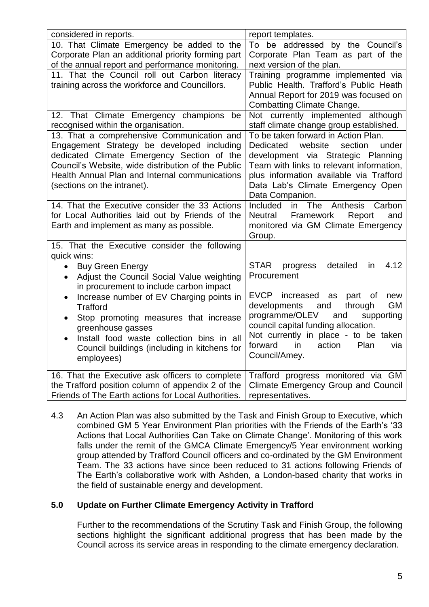| considered in reports.                                                                            | report templates.                                                              |  |
|---------------------------------------------------------------------------------------------------|--------------------------------------------------------------------------------|--|
| 10. That Climate Emergency be added to the                                                        | To be addressed by the Council's                                               |  |
| Corporate Plan an additional priority forming part                                                | Corporate Plan Team as part of the                                             |  |
| of the annual report and performance monitoring.                                                  | next version of the plan.                                                      |  |
| 11. That the Council roll out Carbon literacy<br>training across the workforce and Councillors.   | Training programme implemented via<br>Public Health. Trafford's Public Heath   |  |
|                                                                                                   | Annual Report for 2019 was focused on                                          |  |
|                                                                                                   | <b>Combatting Climate Change.</b>                                              |  |
| 12. That Climate Emergency champions<br>be                                                        | Not currently implemented although                                             |  |
| recognised within the organisation.                                                               | staff climate change group established.                                        |  |
| 13. That a comprehensive Communication and                                                        | To be taken forward in Action Plan.                                            |  |
| Engagement Strategy be developed including                                                        | <b>Dedicated</b><br>website<br>under<br>section                                |  |
| dedicated Climate Emergency Section of the<br>Council's Website, wide distribution of the Public  | development via Strategic Planning<br>Team with links to relevant information, |  |
| Health Annual Plan and Internal communications                                                    | plus information available via Trafford                                        |  |
| (sections on the intranet).                                                                       | Data Lab's Climate Emergency Open                                              |  |
|                                                                                                   | Data Companion.                                                                |  |
| 14. That the Executive consider the 33 Actions                                                    | Included<br>in The<br>Carbon<br>Anthesis                                       |  |
| for Local Authorities laid out by Friends of the                                                  | Framework<br>Neutral<br>Report<br>and                                          |  |
| Earth and implement as many as possible.                                                          | monitored via GM Climate Emergency                                             |  |
|                                                                                                   | Group.                                                                         |  |
| 15. That the Executive consider the following                                                     |                                                                                |  |
| quick wins:                                                                                       |                                                                                |  |
| <b>Buy Green Energy</b><br>$\bullet$                                                              | <b>STAR</b><br>detailed<br>4.12<br>progress<br>in<br>Procurement               |  |
| Adjust the Council Social Value weighting<br>$\bullet$<br>in procurement to include carbon impact |                                                                                |  |
| Increase number of EV Charging points in<br>$\bullet$                                             | EVCP increased<br>new<br>as<br>part of                                         |  |
| <b>Trafford</b>                                                                                   | <b>GM</b><br>developments<br>and<br>through                                    |  |
| Stop promoting measures that increase                                                             | programme/OLEV<br>supporting<br>and                                            |  |
| greenhouse gasses                                                                                 | council capital funding allocation.                                            |  |
| Install food waste collection bins in all                                                         | Not currently in place - to be taken                                           |  |
| Council buildings (including in kitchens for                                                      | forward<br>action<br>Plan<br>in<br>via                                         |  |
| employees)                                                                                        | Council/Amey.                                                                  |  |
| 16. That the Executive ask officers to complete                                                   | Trafford progress monitored via GM                                             |  |
| the Trafford position column of appendix 2 of the                                                 | <b>Climate Emergency Group and Council</b>                                     |  |
| Friends of The Earth actions for Local Authorities.                                               | representatives.                                                               |  |

4.3 An Action Plan was also submitted by the Task and Finish Group to Executive, which combined GM 5 Year Environment Plan priorities with the Friends of the Earth's '33 Actions that Local Authorities Can Take on Climate Change'. Monitoring of this work falls under the remit of the GMCA Climate Emergency/5 Year environment working group attended by Trafford Council officers and co-ordinated by the GM Environment Team. The 33 actions have since been reduced to 31 actions following Friends of The Earth's collaborative work with Ashden, a London-based charity that works in the field of sustainable energy and development.

### **5.0 Update on Further Climate Emergency Activity in Trafford**

Further to the recommendations of the Scrutiny Task and Finish Group, the following sections highlight the significant additional progress that has been made by the Council across its service areas in responding to the climate emergency declaration.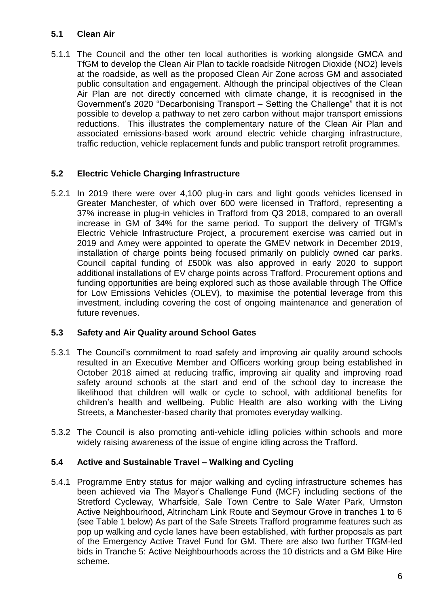### **5.1 Clean Air**

5.1.1 The Council and the other ten local authorities is working alongside GMCA and TfGM to develop the Clean Air Plan to tackle roadside Nitrogen Dioxide (NO2) levels at the roadside, as well as the proposed Clean Air Zone across GM and associated public consultation and engagement. Although the principal objectives of the Clean Air Plan are not directly concerned with climate change, it is recognised in the Government's 2020 "Decarbonising Transport – Setting the Challenge" that it is not possible to develop a pathway to net zero carbon without major transport emissions reductions. This illustrates the complementary nature of the Clean Air Plan and associated emissions-based work around electric vehicle charging infrastructure, traffic reduction, vehicle replacement funds and public transport retrofit programmes.

# **5.2 Electric Vehicle Charging Infrastructure**

5.2.1 In 2019 there were over 4,100 plug-in cars and light goods vehicles licensed in Greater Manchester, of which over 600 were licensed in Trafford, representing a 37% increase in plug-in vehicles in Trafford from Q3 2018, compared to an overall increase in GM of 34% for the same period. To support the delivery of TfGM's Electric Vehicle Infrastructure Project, a procurement exercise was carried out in 2019 and Amey were appointed to operate the GMEV network in December 2019, installation of charge points being focused primarily on publicly owned car parks. Council capital funding of £500k was also approved in early 2020 to support additional installations of EV charge points across Trafford. Procurement options and funding opportunities are being explored such as those available through The Office for Low Emissions Vehicles (OLEV), to maximise the potential leverage from this investment, including covering the cost of ongoing maintenance and generation of future revenues.

### **5.3 Safety and Air Quality around School Gates**

- 5.3.1 The Council's commitment to road safety and improving air quality around schools resulted in an Executive Member and Officers working group being established in October 2018 aimed at reducing traffic, improving air quality and improving road safety around schools at the start and end of the school day to increase the likelihood that children will walk or cycle to school, with additional benefits for children's health and wellbeing. Public Health are also working with the Living Streets, a Manchester-based charity that promotes everyday walking.
- 5.3.2 The Council is also promoting anti-vehicle idling policies within schools and more widely raising awareness of the issue of engine idling across the Trafford.

### **5.4 Active and Sustainable Travel – Walking and Cycling**

5.4.1 Programme Entry status for major walking and cycling infrastructure schemes has been achieved via The Mayor's Challenge Fund (MCF) including sections of the Stretford Cycleway, Wharfside, Sale Town Centre to Sale Water Park, Urmston Active Neighbourhood, Altrincham Link Route and Seymour Grove in tranches 1 to 6 (see Table 1 below) As part of the Safe Streets Trafford programme features such as pop up walking and cycle lanes have been established, with further proposals as part of the Emergency Active Travel Fund for GM. There are also two further TfGM-led bids in Tranche 5: Active Neighbourhoods across the 10 districts and a GM Bike Hire scheme.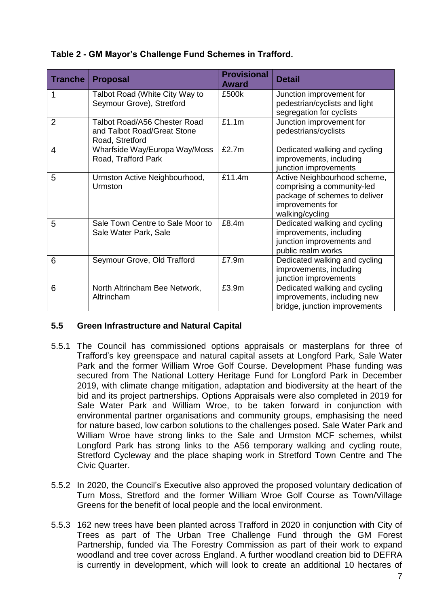# **Table 2 - GM Mayor's Challenge Fund Schemes in Trafford.**

| <b>Tranche</b> | <b>Proposal</b>                                                                | <b>Provisional</b><br><b>Award</b> | <b>Detail</b>                                                                                                                      |
|----------------|--------------------------------------------------------------------------------|------------------------------------|------------------------------------------------------------------------------------------------------------------------------------|
| 1              | Talbot Road (White City Way to<br>Seymour Grove), Stretford                    | £500k                              | Junction improvement for<br>pedestrian/cyclists and light<br>segregation for cyclists                                              |
| $\overline{2}$ | Talbot Road/A56 Chester Road<br>and Talbot Road/Great Stone<br>Road, Stretford | £1.1m                              | Junction improvement for<br>pedestrians/cyclists                                                                                   |
| 4              | Wharfside Way/Europa Way/Moss<br>Road, Trafford Park                           | £2.7m                              | Dedicated walking and cycling<br>improvements, including<br>junction improvements                                                  |
| 5              | Urmston Active Neighbourhood,<br>Urmston                                       | £11.4m                             | Active Neighbourhood scheme,<br>comprising a community-led<br>package of schemes to deliver<br>improvements for<br>walking/cycling |
| 5              | Sale Town Centre to Sale Moor to<br>Sale Water Park, Sale                      | £8.4m                              | Dedicated walking and cycling<br>improvements, including<br>junction improvements and<br>public realm works                        |
| 6              | Seymour Grove, Old Trafford                                                    | £7.9m                              | Dedicated walking and cycling<br>improvements, including<br>junction improvements                                                  |
| 6              | North Altrincham Bee Network,<br>Altrincham                                    | £3.9m                              | Dedicated walking and cycling<br>improvements, including new<br>bridge, junction improvements                                      |

### **5.5 Green Infrastructure and Natural Capital**

- 5.5.1 The Council has commissioned options appraisals or masterplans for three of Trafford's key greenspace and natural capital assets at Longford Park, Sale Water Park and the former William Wroe Golf Course. Development Phase funding was secured from The National Lottery Heritage Fund for Longford Park in December 2019, with climate change mitigation, adaptation and biodiversity at the heart of the bid and its project partnerships. Options Appraisals were also completed in 2019 for Sale Water Park and William Wroe, to be taken forward in conjunction with environmental partner organisations and community groups, emphasising the need for nature based, low carbon solutions to the challenges posed. Sale Water Park and William Wroe have strong links to the Sale and Urmston MCF schemes, whilst Longford Park has strong links to the A56 temporary walking and cycling route, Stretford Cycleway and the place shaping work in Stretford Town Centre and The Civic Quarter.
- 5.5.2 In 2020, the Council's Executive also approved the proposed voluntary dedication of Turn Moss, Stretford and the former William Wroe Golf Course as Town/Village Greens for the benefit of local people and the local environment.
- 5.5.3 162 new trees have been planted across Trafford in 2020 in conjunction with City of Trees as part of The Urban Tree Challenge Fund through the GM Forest Partnership, funded via The Forestry Commission as part of their work to expand woodland and tree cover across England. A further woodland creation bid to DEFRA is currently in development, which will look to create an additional 10 hectares of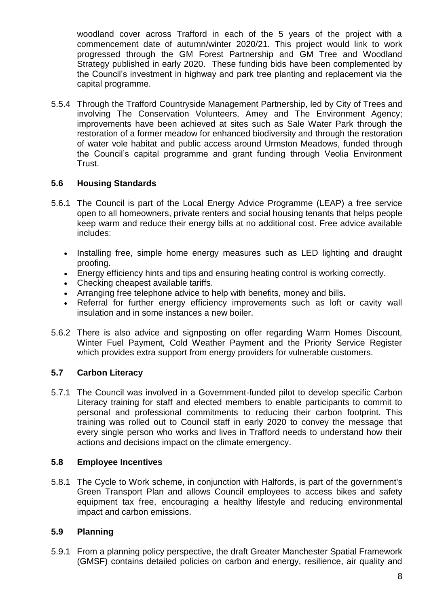woodland cover across Trafford in each of the 5 years of the project with a commencement date of autumn/winter 2020/21. This project would link to work progressed through the GM Forest Partnership and GM Tree and Woodland Strategy published in early 2020. These funding bids have been complemented by the Council's investment in highway and park tree planting and replacement via the capital programme.

5.5.4 Through the Trafford Countryside Management Partnership, led by City of Trees and involving The Conservation Volunteers, Amey and The Environment Agency; improvements have been achieved at sites such as Sale Water Park through the restoration of a former meadow for enhanced biodiversity and through the restoration of water vole habitat and public access around Urmston Meadows, funded through the Council's capital programme and grant funding through Veolia Environment Trust.

# **5.6 Housing Standards**

- 5.6.1 The Council is part of the Local Energy Advice Programme (LEAP) a free service open to all homeowners, private renters and social housing tenants that helps people keep warm and reduce their energy bills at no additional cost. Free advice available includes:
	- Installing free, simple home energy measures such as LED lighting and draught proofing.
	- Energy efficiency hints and tips and ensuring heating control is working correctly.
	- Checking cheapest available tariffs.
	- Arranging free telephone advice to help with benefits, money and bills.
	- Referral for further energy efficiency improvements such as loft or cavity wall insulation and in some instances a new boiler.
- 5.6.2 There is also advice and signposting on offer regarding Warm Homes Discount, Winter Fuel Payment, Cold Weather Payment and the Priority Service Register which provides extra support from energy providers for vulnerable customers.

# **5.7 Carbon Literacy**

5.7.1 The Council was involved in a Government-funded pilot to develop specific Carbon Literacy training for staff and elected members to enable participants to commit to personal and professional commitments to reducing their carbon footprint. This training was rolled out to Council staff in early 2020 to convey the message that every single person who works and lives in Trafford needs to understand how their actions and decisions impact on the climate emergency.

### **5.8 Employee Incentives**

5.8.1 The Cycle to Work scheme, in conjunction with Halfords, is part of the government's Green Transport Plan and allows Council employees to access bikes and safety equipment tax free, encouraging a healthy lifestyle and reducing environmental impact and carbon emissions.

# **5.9 Planning**

5.9.1 From a planning policy perspective, the draft Greater Manchester Spatial Framework (GMSF) contains detailed policies on carbon and energy, resilience, air quality and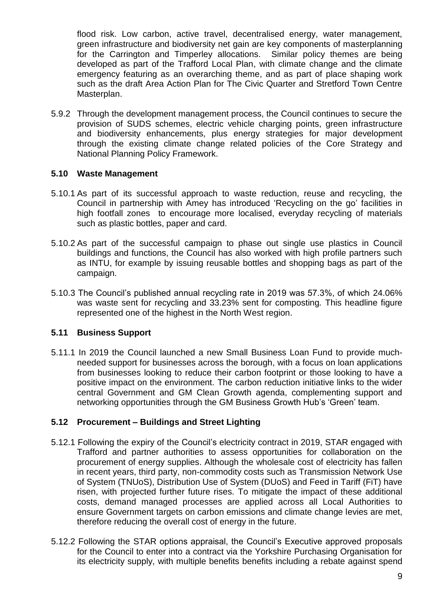flood risk. Low carbon, active travel, decentralised energy, water management, green infrastructure and biodiversity net gain are key components of masterplanning for the Carrington and Timperley allocations. Similar policy themes are being developed as part of the Trafford Local Plan, with climate change and the climate emergency featuring as an overarching theme, and as part of place shaping work such as the draft Area Action Plan for The Civic Quarter and Stretford Town Centre Masterplan.

5.9.2 Through the development management process, the Council continues to secure the provision of SUDS schemes, electric vehicle charging points, green infrastructure and biodiversity enhancements, plus energy strategies for major development through the existing climate change related policies of the Core Strategy and National Planning Policy Framework.

### **5.10 Waste Management**

- 5.10.1 As part of its successful approach to waste reduction, reuse and recycling, the Council in partnership with Amey has introduced 'Recycling on the go' facilities in high footfall zones to encourage more localised, everyday recycling of materials such as plastic bottles, paper and card.
- 5.10.2 As part of the successful campaign to phase out single use plastics in Council buildings and functions, the Council has also worked with high profile partners such as INTU, for example by issuing reusable bottles and shopping bags as part of the campaign.
- 5.10.3 The Council's published annual recycling rate in 2019 was 57.3%, of which 24.06% was waste sent for recycling and 33.23% sent for composting*.* This headline figure represented one of the highest in the North West region.

### **5.11 Business Support**

5.11.1 In 2019 the Council launched a new Small Business Loan Fund to provide muchneeded support for businesses across the borough, with a focus on loan applications from businesses looking to reduce their carbon footprint or those looking to have a positive impact on the environment. The carbon reduction initiative links to the wider central Government and GM Clean Growth agenda, complementing support and networking opportunities through the GM Business Growth Hub's 'Green' team.

### **5.12 Procurement – Buildings and Street Lighting**

- 5.12.1 Following the expiry of the Council's electricity contract in 2019, STAR engaged with Trafford and partner authorities to assess opportunities for collaboration on the procurement of energy supplies. Although the wholesale cost of electricity has fallen in recent years, third party, non-commodity costs such as Transmission Network Use of System (TNUoS), Distribution Use of System (DUoS) and Feed in Tariff (FiT) have risen, with projected further future rises. To mitigate the impact of these additional costs, demand managed processes are applied across all Local Authorities to ensure Government targets on carbon emissions and climate change levies are met, therefore reducing the overall cost of energy in the future.
- 5.12.2 Following the STAR options appraisal, the Council's Executive approved proposals for the Council to enter into a contract via the Yorkshire Purchasing Organisation for its electricity supply, with multiple benefits benefits including a rebate against spend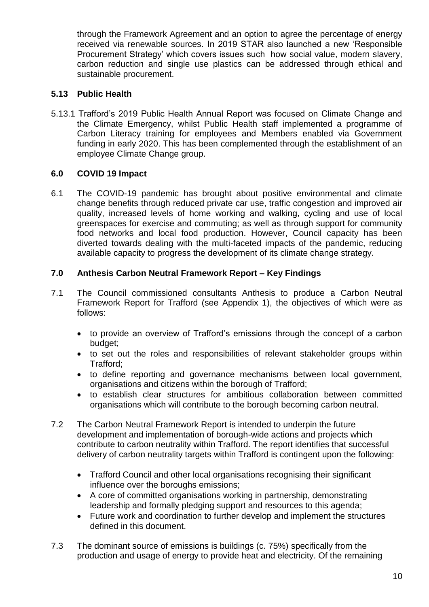through the Framework Agreement and an option to agree the percentage of energy received via renewable sources. In 2019 STAR also launched a new 'Responsible Procurement Strategy' which covers issues such how social value, modern slavery, carbon reduction and single use plastics can be addressed through ethical and sustainable procurement.

# **5.13 Public Health**

5.13.1 Trafford's 2019 Public Health Annual Report was focused on Climate Change and the Climate Emergency, whilst Public Health staff implemented a programme of Carbon Literacy training for employees and Members enabled via Government funding in early 2020. This has been complemented through the establishment of an employee Climate Change group.

# **6.0 COVID 19 Impact**

6.1 The COVID-19 pandemic has brought about positive environmental and climate change benefits through reduced private car use, traffic congestion and improved air quality, increased levels of home working and walking, cycling and use of local greenspaces for exercise and commuting; as well as through support for community food networks and local food production. However, Council capacity has been diverted towards dealing with the multi-faceted impacts of the pandemic, reducing available capacity to progress the development of its climate change strategy.

# **7.0 Anthesis Carbon Neutral Framework Report – Key Findings**

- 7.1 The Council commissioned consultants Anthesis to produce a Carbon Neutral Framework Report for Trafford (see Appendix 1), the objectives of which were as follows:
	- to provide an overview of Trafford's emissions through the concept of a carbon budget;
	- to set out the roles and responsibilities of relevant stakeholder groups within Trafford;
	- to define reporting and governance mechanisms between local government, organisations and citizens within the borough of Trafford;
	- to establish clear structures for ambitious collaboration between committed organisations which will contribute to the borough becoming carbon neutral.
- 7.2 The Carbon Neutral Framework Report is intended to underpin the future development and implementation of borough-wide actions and projects which contribute to carbon neutrality within Trafford. The report identifies that successful delivery of carbon neutrality targets within Trafford is contingent upon the following:
	- Trafford Council and other local organisations recognising their significant influence over the boroughs emissions;
	- A core of committed organisations working in partnership, demonstrating leadership and formally pledging support and resources to this agenda;
	- Future work and coordination to further develop and implement the structures defined in this document.
- 7.3 The dominant source of emissions is buildings (c. 75%) specifically from the production and usage of energy to provide heat and electricity. Of the remaining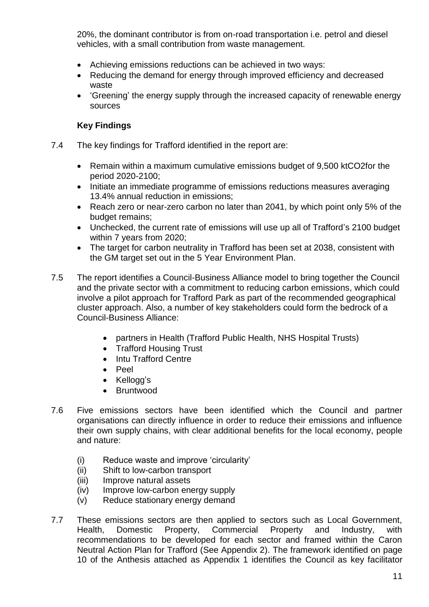20%, the dominant contributor is from on-road transportation i.e. petrol and diesel vehicles, with a small contribution from waste management.

- Achieving emissions reductions can be achieved in two ways:
- Reducing the demand for energy through improved efficiency and decreased waste
- 'Greening' the energy supply through the increased capacity of renewable energy sources

# **Key Findings**

- 7.4 The key findings for Trafford identified in the report are:
	- Remain within a maximum cumulative emissions budget of 9,500 ktCO2for the period 2020-2100;
	- Initiate an immediate programme of emissions reductions measures averaging 13.4% annual reduction in emissions;
	- Reach zero or near-zero carbon no later than 2041, by which point only 5% of the budget remains;
	- Unchecked, the current rate of emissions will use up all of Trafford's 2100 budget within 7 years from 2020;
	- The target for carbon neutrality in Trafford has been set at 2038, consistent with the GM target set out in the 5 Year Environment Plan.
- 7.5 The report identifies a Council-Business Alliance model to bring together the Council and the private sector with a commitment to reducing carbon emissions, which could involve a pilot approach for Trafford Park as part of the recommended geographical cluster approach. Also, a number of key stakeholders could form the bedrock of a Council-Business Alliance:
	- partners in Health (Trafford Public Health, NHS Hospital Trusts)
	- Trafford Housing Trust
	- Intu Trafford Centre
	- Peel
	- Kellogg's
	- Bruntwood
- 7.6 Five emissions sectors have been identified which the Council and partner organisations can directly influence in order to reduce their emissions and influence their own supply chains, with clear additional benefits for the local economy, people and nature:
	- (i) Reduce waste and improve 'circularity'
	- (ii) Shift to low-carbon transport
	- (iii) Improve natural assets
	- (iv) Improve low-carbon energy supply
	- (v) Reduce stationary energy demand
- 7.7 These emissions sectors are then applied to sectors such as Local Government, Health, Domestic Property, Commercial Property and Industry, with recommendations to be developed for each sector and framed within the Caron Neutral Action Plan for Trafford (See Appendix 2). The framework identified on page 10 of the Anthesis attached as Appendix 1 identifies the Council as key facilitator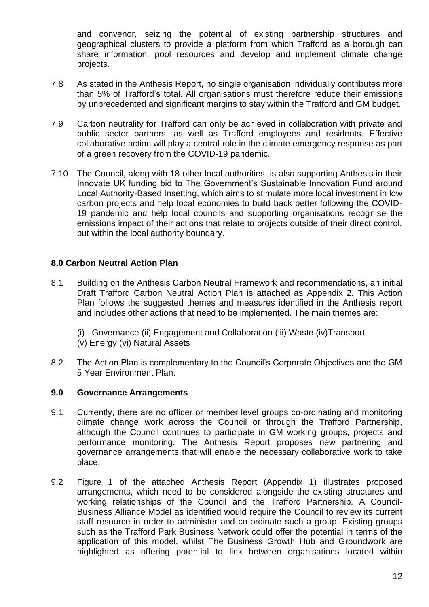and convenor, seizing the potential of existing partnership structures and geographical clusters to provide a platform from which Trafford as a borough can share information, pool resources and develop and implement climate change projects.

- 7.8 As stated in the Anthesis Report, no single organisation individually contributes more than 5% of Trafford's total. All organisations must therefore reduce their emissions by unprecedented and significant margins to stay within the Trafford and GM budget.
- 7.9 Carbon neutrality for Trafford can only be achieved in collaboration with private and public sector partners, as well as Trafford employees and residents. Effective collaborative action will play a central role in the climate emergency response as part of a green recovery from the COVID-19 pandemic.
- 7.10 The Council, along with 18 other local authorities, is also supporting Anthesis in their Innovate UK funding bid to The Government's Sustainable Innovation Fund around Local Authority-Based Insetting, which aims to stimulate more local investment in low carbon projects and help local economies to build back better following the COVID-19 pandemic and help local councils and supporting organisations recognise the emissions impact of their actions that relate to projects outside of their direct control, but within the local authority boundary.

### **8.0 Carbon Neutral Action Plan**

- 8.1 Building on the Anthesis Carbon Neutral Framework and recommendations, an initial Draft Trafford Carbon Neutral Action Plan is attached as Appendix 2. This Action Plan follows the suggested themes and measures identified in the Anthesis report and includes other actions that need to be implemented. The main themes are:
	- (i) Governance (ii) Engagement and Collaboration (iii) Waste (iv)Transport (v) Energy (vi) Natural Assets
- 8.2 The Action Plan is complementary to the Council's Corporate Objectives and the GM 5 Year Environment Plan.

### **9.0 Governance Arrangements**

- 9.1 Currently, there are no officer or member level groups co-ordinating and monitoring climate change work across the Council or through the Trafford Partnership, although the Council continues to participate in GM working groups, projects and performance monitoring. The Anthesis Report proposes new partnering and governance arrangements that will enable the necessary collaborative work to take place.
- 9.2 Figure 1 of the attached Anthesis Report (Appendix 1) illustrates proposed arrangements, which need to be considered alongside the existing structures and working relationships of the Council and the Trafford Partnership. A Council-Business Alliance Model as identified would require the Council to review its current staff resource in order to administer and co-ordinate such a group. Existing groups such as the Trafford Park Business Network could offer the potential in terms of the application of this model, whilst The Business Growth Hub and Groundwork are highlighted as offering potential to link between organisations located within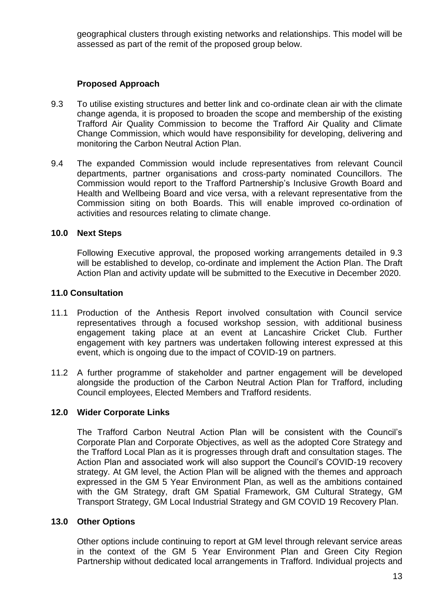geographical clusters through existing networks and relationships. This model will be assessed as part of the remit of the proposed group below.

### **Proposed Approach**

- 9.3 To utilise existing structures and better link and co-ordinate clean air with the climate change agenda, it is proposed to broaden the scope and membership of the existing Trafford Air Quality Commission to become the Trafford Air Quality and Climate Change Commission, which would have responsibility for developing, delivering and monitoring the Carbon Neutral Action Plan.
- 9.4 The expanded Commission would include representatives from relevant Council departments, partner organisations and cross-party nominated Councillors. The Commission would report to the Trafford Partnership's Inclusive Growth Board and Health and Wellbeing Board and vice versa, with a relevant representative from the Commission siting on both Boards. This will enable improved co-ordination of activities and resources relating to climate change.

#### **10.0 Next Steps**

Following Executive approval, the proposed working arrangements detailed in 9.3 will be established to develop, co-ordinate and implement the Action Plan. The Draft Action Plan and activity update will be submitted to the Executive in December 2020.

#### **11.0 Consultation**

- 11.1 Production of the Anthesis Report involved consultation with Council service representatives through a focused workshop session, with additional business engagement taking place at an event at Lancashire Cricket Club. Further engagement with key partners was undertaken following interest expressed at this event, which is ongoing due to the impact of COVID-19 on partners.
- 11.2 A further programme of stakeholder and partner engagement will be developed alongside the production of the Carbon Neutral Action Plan for Trafford, including Council employees, Elected Members and Trafford residents.

### **12.0 Wider Corporate Links**

The Trafford Carbon Neutral Action Plan will be consistent with the Council's Corporate Plan and Corporate Objectives, as well as the adopted Core Strategy and the Trafford Local Plan as it is progresses through draft and consultation stages. The Action Plan and associated work will also support the Council's COVID-19 recovery strategy. At GM level, the Action Plan will be aligned with the themes and approach expressed in the GM 5 Year Environment Plan, as well as the ambitions contained with the GM Strategy, draft GM Spatial Framework, GM Cultural Strategy, GM Transport Strategy, GM Local Industrial Strategy and GM COVID 19 Recovery Plan.

### **13.0 Other Options**

Other options include continuing to report at GM level through relevant service areas in the context of the GM 5 Year Environment Plan and Green City Region Partnership without dedicated local arrangements in Trafford. Individual projects and